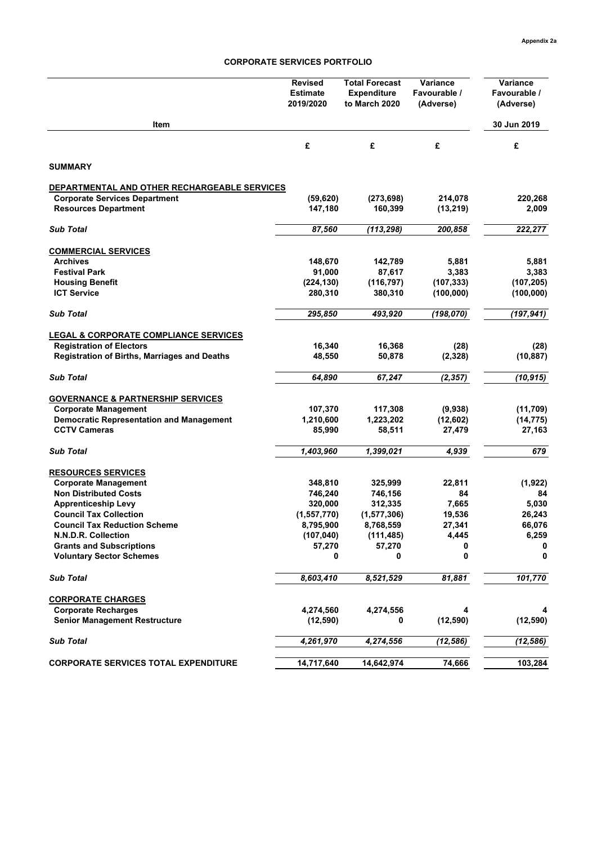## **CORPORATE SERVICES PORTFOLIO**

| 30 Jun 2019<br>Item<br>£<br>£<br>£<br>£<br><b>SUMMARY</b><br>DEPARTMENTAL AND OTHER RECHARGEABLE SERVICES<br>214,078<br><b>Corporate Services Department</b><br>(59, 620)<br>(273, 698)<br><b>Resources Department</b><br>147,180<br>160,399<br>(13, 219)<br>87,560<br>(113, 298)<br><b>Sub Total</b><br>200,858<br><b>COMMERCIAL SERVICES</b><br>148,670<br>142,789<br>5,881<br><b>Archives</b><br>3,383<br><b>Festival Park</b><br>91,000<br>87,617<br>(224, 130)<br>(116, 797)<br>(107, 333)<br><b>Housing Benefit</b><br><b>ICT Service</b><br>280,310<br>380,310<br>(100, 000)<br>295,850<br>493,920<br>(198, 070)<br><b>Sub Total</b><br><b>LEGAL &amp; CORPORATE COMPLIANCE SERVICES</b><br><b>Registration of Electors</b><br>16,340<br>16,368<br>(28)<br><b>Registration of Births, Marriages and Deaths</b><br>48,550<br>50,878<br>(2,328)<br><b>Sub Total</b><br>64,890<br>67,247<br>(2, 357)<br><b>GOVERNANCE &amp; PARTNERSHIP SERVICES</b><br>117,308<br><b>Corporate Management</b><br>107,370<br>(9,938)<br><b>Democratic Representation and Management</b><br>1,210,600<br>1,223,202<br>(12,602)<br><b>CCTV Cameras</b><br>85,990<br>58,511<br>27,479<br>1,403,960<br><b>Sub Total</b><br>1,399,021<br>4,939<br><b>RESOURCES SERVICES</b><br><b>Corporate Management</b><br>348,810<br>325,999<br>22,811<br><b>Non Distributed Costs</b><br>746,240<br>746,156<br>84<br><b>Apprenticeship Levy</b><br>320,000<br>312,335<br>7,665<br><b>Council Tax Collection</b><br>19,536<br>(1,557,770)<br>(1, 577, 306)<br>27,341<br><b>Council Tax Reduction Scheme</b><br>8,795,900<br>8,768,559<br>(107, 040)<br>N.N.D.R. Collection<br>(111, 485)<br>4,445<br><b>Grants and Subscriptions</b><br>57,270<br>57,270<br>0<br><b>Voluntary Sector Schemes</b><br>0<br>0<br>0<br>8,603,410<br>8,521,529<br>81,881<br><b>Sub Total</b><br><b>CORPORATE CHARGES</b><br><b>Corporate Recharges</b><br>4,274,560<br>4,274,556<br>4<br>(12, 590)<br><b>Senior Management Restructure</b><br>(12, 590)<br>0<br><b>Sub Total</b><br>4,261,970<br>4,274,556<br>(12, 586) |                                             | <b>Revised</b><br><b>Estimate</b><br>2019/2020 | <b>Total Forecast</b><br><b>Expenditure</b><br>to March 2020 | <b>Variance</b><br>Favourable /<br>(Adverse) | Variance<br>Favourable /<br>(Adverse) |
|-----------------------------------------------------------------------------------------------------------------------------------------------------------------------------------------------------------------------------------------------------------------------------------------------------------------------------------------------------------------------------------------------------------------------------------------------------------------------------------------------------------------------------------------------------------------------------------------------------------------------------------------------------------------------------------------------------------------------------------------------------------------------------------------------------------------------------------------------------------------------------------------------------------------------------------------------------------------------------------------------------------------------------------------------------------------------------------------------------------------------------------------------------------------------------------------------------------------------------------------------------------------------------------------------------------------------------------------------------------------------------------------------------------------------------------------------------------------------------------------------------------------------------------------------------------------------------------------------------------------------------------------------------------------------------------------------------------------------------------------------------------------------------------------------------------------------------------------------------------------------------------------------------------------------------------------------------------------------------------------------------------------------------------------------------------------------|---------------------------------------------|------------------------------------------------|--------------------------------------------------------------|----------------------------------------------|---------------------------------------|
|                                                                                                                                                                                                                                                                                                                                                                                                                                                                                                                                                                                                                                                                                                                                                                                                                                                                                                                                                                                                                                                                                                                                                                                                                                                                                                                                                                                                                                                                                                                                                                                                                                                                                                                                                                                                                                                                                                                                                                                                                                                                       |                                             |                                                |                                                              |                                              |                                       |
|                                                                                                                                                                                                                                                                                                                                                                                                                                                                                                                                                                                                                                                                                                                                                                                                                                                                                                                                                                                                                                                                                                                                                                                                                                                                                                                                                                                                                                                                                                                                                                                                                                                                                                                                                                                                                                                                                                                                                                                                                                                                       |                                             |                                                |                                                              |                                              |                                       |
|                                                                                                                                                                                                                                                                                                                                                                                                                                                                                                                                                                                                                                                                                                                                                                                                                                                                                                                                                                                                                                                                                                                                                                                                                                                                                                                                                                                                                                                                                                                                                                                                                                                                                                                                                                                                                                                                                                                                                                                                                                                                       |                                             |                                                |                                                              |                                              |                                       |
|                                                                                                                                                                                                                                                                                                                                                                                                                                                                                                                                                                                                                                                                                                                                                                                                                                                                                                                                                                                                                                                                                                                                                                                                                                                                                                                                                                                                                                                                                                                                                                                                                                                                                                                                                                                                                                                                                                                                                                                                                                                                       |                                             |                                                |                                                              |                                              |                                       |
|                                                                                                                                                                                                                                                                                                                                                                                                                                                                                                                                                                                                                                                                                                                                                                                                                                                                                                                                                                                                                                                                                                                                                                                                                                                                                                                                                                                                                                                                                                                                                                                                                                                                                                                                                                                                                                                                                                                                                                                                                                                                       |                                             |                                                |                                                              |                                              | 220,268                               |
|                                                                                                                                                                                                                                                                                                                                                                                                                                                                                                                                                                                                                                                                                                                                                                                                                                                                                                                                                                                                                                                                                                                                                                                                                                                                                                                                                                                                                                                                                                                                                                                                                                                                                                                                                                                                                                                                                                                                                                                                                                                                       |                                             |                                                |                                                              |                                              | 2,009                                 |
|                                                                                                                                                                                                                                                                                                                                                                                                                                                                                                                                                                                                                                                                                                                                                                                                                                                                                                                                                                                                                                                                                                                                                                                                                                                                                                                                                                                                                                                                                                                                                                                                                                                                                                                                                                                                                                                                                                                                                                                                                                                                       |                                             |                                                |                                                              |                                              | 222,277                               |
|                                                                                                                                                                                                                                                                                                                                                                                                                                                                                                                                                                                                                                                                                                                                                                                                                                                                                                                                                                                                                                                                                                                                                                                                                                                                                                                                                                                                                                                                                                                                                                                                                                                                                                                                                                                                                                                                                                                                                                                                                                                                       |                                             |                                                |                                                              |                                              |                                       |
|                                                                                                                                                                                                                                                                                                                                                                                                                                                                                                                                                                                                                                                                                                                                                                                                                                                                                                                                                                                                                                                                                                                                                                                                                                                                                                                                                                                                                                                                                                                                                                                                                                                                                                                                                                                                                                                                                                                                                                                                                                                                       |                                             |                                                |                                                              |                                              | 5,881                                 |
|                                                                                                                                                                                                                                                                                                                                                                                                                                                                                                                                                                                                                                                                                                                                                                                                                                                                                                                                                                                                                                                                                                                                                                                                                                                                                                                                                                                                                                                                                                                                                                                                                                                                                                                                                                                                                                                                                                                                                                                                                                                                       |                                             |                                                |                                                              |                                              | 3,383                                 |
|                                                                                                                                                                                                                                                                                                                                                                                                                                                                                                                                                                                                                                                                                                                                                                                                                                                                                                                                                                                                                                                                                                                                                                                                                                                                                                                                                                                                                                                                                                                                                                                                                                                                                                                                                                                                                                                                                                                                                                                                                                                                       |                                             |                                                |                                                              |                                              | (107, 205)                            |
|                                                                                                                                                                                                                                                                                                                                                                                                                                                                                                                                                                                                                                                                                                                                                                                                                                                                                                                                                                                                                                                                                                                                                                                                                                                                                                                                                                                                                                                                                                                                                                                                                                                                                                                                                                                                                                                                                                                                                                                                                                                                       |                                             |                                                |                                                              |                                              | (100,000)                             |
|                                                                                                                                                                                                                                                                                                                                                                                                                                                                                                                                                                                                                                                                                                                                                                                                                                                                                                                                                                                                                                                                                                                                                                                                                                                                                                                                                                                                                                                                                                                                                                                                                                                                                                                                                                                                                                                                                                                                                                                                                                                                       |                                             |                                                |                                                              |                                              | (197, 941)                            |
|                                                                                                                                                                                                                                                                                                                                                                                                                                                                                                                                                                                                                                                                                                                                                                                                                                                                                                                                                                                                                                                                                                                                                                                                                                                                                                                                                                                                                                                                                                                                                                                                                                                                                                                                                                                                                                                                                                                                                                                                                                                                       |                                             |                                                |                                                              |                                              |                                       |
|                                                                                                                                                                                                                                                                                                                                                                                                                                                                                                                                                                                                                                                                                                                                                                                                                                                                                                                                                                                                                                                                                                                                                                                                                                                                                                                                                                                                                                                                                                                                                                                                                                                                                                                                                                                                                                                                                                                                                                                                                                                                       |                                             |                                                |                                                              |                                              | (28)                                  |
|                                                                                                                                                                                                                                                                                                                                                                                                                                                                                                                                                                                                                                                                                                                                                                                                                                                                                                                                                                                                                                                                                                                                                                                                                                                                                                                                                                                                                                                                                                                                                                                                                                                                                                                                                                                                                                                                                                                                                                                                                                                                       |                                             |                                                |                                                              |                                              | (10, 887)                             |
|                                                                                                                                                                                                                                                                                                                                                                                                                                                                                                                                                                                                                                                                                                                                                                                                                                                                                                                                                                                                                                                                                                                                                                                                                                                                                                                                                                                                                                                                                                                                                                                                                                                                                                                                                                                                                                                                                                                                                                                                                                                                       |                                             |                                                |                                                              |                                              | (10, 915)                             |
|                                                                                                                                                                                                                                                                                                                                                                                                                                                                                                                                                                                                                                                                                                                                                                                                                                                                                                                                                                                                                                                                                                                                                                                                                                                                                                                                                                                                                                                                                                                                                                                                                                                                                                                                                                                                                                                                                                                                                                                                                                                                       |                                             |                                                |                                                              |                                              |                                       |
|                                                                                                                                                                                                                                                                                                                                                                                                                                                                                                                                                                                                                                                                                                                                                                                                                                                                                                                                                                                                                                                                                                                                                                                                                                                                                                                                                                                                                                                                                                                                                                                                                                                                                                                                                                                                                                                                                                                                                                                                                                                                       |                                             |                                                |                                                              |                                              | (11,709)                              |
|                                                                                                                                                                                                                                                                                                                                                                                                                                                                                                                                                                                                                                                                                                                                                                                                                                                                                                                                                                                                                                                                                                                                                                                                                                                                                                                                                                                                                                                                                                                                                                                                                                                                                                                                                                                                                                                                                                                                                                                                                                                                       |                                             |                                                |                                                              |                                              | (14, 775)                             |
|                                                                                                                                                                                                                                                                                                                                                                                                                                                                                                                                                                                                                                                                                                                                                                                                                                                                                                                                                                                                                                                                                                                                                                                                                                                                                                                                                                                                                                                                                                                                                                                                                                                                                                                                                                                                                                                                                                                                                                                                                                                                       |                                             |                                                |                                                              |                                              | 27,163                                |
|                                                                                                                                                                                                                                                                                                                                                                                                                                                                                                                                                                                                                                                                                                                                                                                                                                                                                                                                                                                                                                                                                                                                                                                                                                                                                                                                                                                                                                                                                                                                                                                                                                                                                                                                                                                                                                                                                                                                                                                                                                                                       |                                             |                                                |                                                              |                                              | 679                                   |
|                                                                                                                                                                                                                                                                                                                                                                                                                                                                                                                                                                                                                                                                                                                                                                                                                                                                                                                                                                                                                                                                                                                                                                                                                                                                                                                                                                                                                                                                                                                                                                                                                                                                                                                                                                                                                                                                                                                                                                                                                                                                       |                                             |                                                |                                                              |                                              |                                       |
|                                                                                                                                                                                                                                                                                                                                                                                                                                                                                                                                                                                                                                                                                                                                                                                                                                                                                                                                                                                                                                                                                                                                                                                                                                                                                                                                                                                                                                                                                                                                                                                                                                                                                                                                                                                                                                                                                                                                                                                                                                                                       |                                             |                                                |                                                              |                                              | (1,922)                               |
|                                                                                                                                                                                                                                                                                                                                                                                                                                                                                                                                                                                                                                                                                                                                                                                                                                                                                                                                                                                                                                                                                                                                                                                                                                                                                                                                                                                                                                                                                                                                                                                                                                                                                                                                                                                                                                                                                                                                                                                                                                                                       |                                             |                                                |                                                              |                                              | 84                                    |
|                                                                                                                                                                                                                                                                                                                                                                                                                                                                                                                                                                                                                                                                                                                                                                                                                                                                                                                                                                                                                                                                                                                                                                                                                                                                                                                                                                                                                                                                                                                                                                                                                                                                                                                                                                                                                                                                                                                                                                                                                                                                       |                                             |                                                |                                                              |                                              | 5,030                                 |
|                                                                                                                                                                                                                                                                                                                                                                                                                                                                                                                                                                                                                                                                                                                                                                                                                                                                                                                                                                                                                                                                                                                                                                                                                                                                                                                                                                                                                                                                                                                                                                                                                                                                                                                                                                                                                                                                                                                                                                                                                                                                       |                                             |                                                |                                                              |                                              | 26,243                                |
|                                                                                                                                                                                                                                                                                                                                                                                                                                                                                                                                                                                                                                                                                                                                                                                                                                                                                                                                                                                                                                                                                                                                                                                                                                                                                                                                                                                                                                                                                                                                                                                                                                                                                                                                                                                                                                                                                                                                                                                                                                                                       |                                             |                                                |                                                              |                                              | 66,076                                |
|                                                                                                                                                                                                                                                                                                                                                                                                                                                                                                                                                                                                                                                                                                                                                                                                                                                                                                                                                                                                                                                                                                                                                                                                                                                                                                                                                                                                                                                                                                                                                                                                                                                                                                                                                                                                                                                                                                                                                                                                                                                                       |                                             |                                                |                                                              |                                              | 6,259                                 |
|                                                                                                                                                                                                                                                                                                                                                                                                                                                                                                                                                                                                                                                                                                                                                                                                                                                                                                                                                                                                                                                                                                                                                                                                                                                                                                                                                                                                                                                                                                                                                                                                                                                                                                                                                                                                                                                                                                                                                                                                                                                                       |                                             |                                                |                                                              |                                              |                                       |
|                                                                                                                                                                                                                                                                                                                                                                                                                                                                                                                                                                                                                                                                                                                                                                                                                                                                                                                                                                                                                                                                                                                                                                                                                                                                                                                                                                                                                                                                                                                                                                                                                                                                                                                                                                                                                                                                                                                                                                                                                                                                       |                                             |                                                |                                                              |                                              | 0                                     |
|                                                                                                                                                                                                                                                                                                                                                                                                                                                                                                                                                                                                                                                                                                                                                                                                                                                                                                                                                                                                                                                                                                                                                                                                                                                                                                                                                                                                                                                                                                                                                                                                                                                                                                                                                                                                                                                                                                                                                                                                                                                                       |                                             |                                                |                                                              |                                              | 101,770                               |
|                                                                                                                                                                                                                                                                                                                                                                                                                                                                                                                                                                                                                                                                                                                                                                                                                                                                                                                                                                                                                                                                                                                                                                                                                                                                                                                                                                                                                                                                                                                                                                                                                                                                                                                                                                                                                                                                                                                                                                                                                                                                       |                                             |                                                |                                                              |                                              |                                       |
|                                                                                                                                                                                                                                                                                                                                                                                                                                                                                                                                                                                                                                                                                                                                                                                                                                                                                                                                                                                                                                                                                                                                                                                                                                                                                                                                                                                                                                                                                                                                                                                                                                                                                                                                                                                                                                                                                                                                                                                                                                                                       |                                             |                                                |                                                              |                                              | 4                                     |
|                                                                                                                                                                                                                                                                                                                                                                                                                                                                                                                                                                                                                                                                                                                                                                                                                                                                                                                                                                                                                                                                                                                                                                                                                                                                                                                                                                                                                                                                                                                                                                                                                                                                                                                                                                                                                                                                                                                                                                                                                                                                       |                                             |                                                |                                                              |                                              | (12, 590)                             |
|                                                                                                                                                                                                                                                                                                                                                                                                                                                                                                                                                                                                                                                                                                                                                                                                                                                                                                                                                                                                                                                                                                                                                                                                                                                                                                                                                                                                                                                                                                                                                                                                                                                                                                                                                                                                                                                                                                                                                                                                                                                                       |                                             |                                                |                                                              |                                              | (12, 586)                             |
|                                                                                                                                                                                                                                                                                                                                                                                                                                                                                                                                                                                                                                                                                                                                                                                                                                                                                                                                                                                                                                                                                                                                                                                                                                                                                                                                                                                                                                                                                                                                                                                                                                                                                                                                                                                                                                                                                                                                                                                                                                                                       | <b>CORPORATE SERVICES TOTAL EXPENDITURE</b> | 14,717,640                                     | 14,642,974                                                   | 74,666                                       | 103,284                               |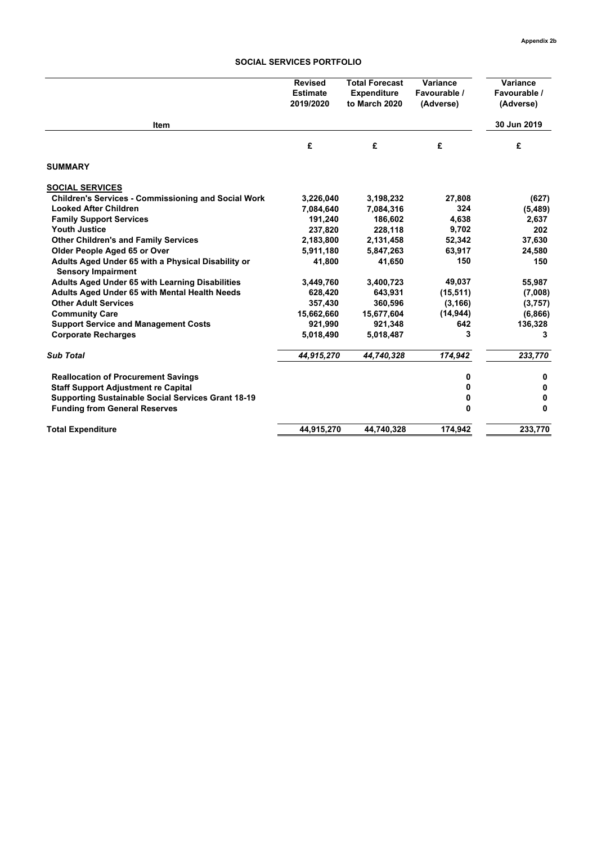## **SOCIAL SERVICES PORTFOLIO**

|                                                                                 | <b>Revised</b><br><b>Estimate</b><br>2019/2020 | <b>Total Forecast</b><br><b>Expenditure</b><br>to March 2020 | Variance<br>Favourable /<br>(Adverse) | Variance<br>Favourable /<br>(Adverse) |
|---------------------------------------------------------------------------------|------------------------------------------------|--------------------------------------------------------------|---------------------------------------|---------------------------------------|
| Item                                                                            |                                                |                                                              |                                       | 30 Jun 2019                           |
|                                                                                 | £                                              | £                                                            | £                                     | £                                     |
| <b>SUMMARY</b>                                                                  |                                                |                                                              |                                       |                                       |
| <b>SOCIAL SERVICES</b>                                                          |                                                |                                                              |                                       |                                       |
| <b>Children's Services - Commissioning and Social Work</b>                      | 3,226,040                                      | 3,198,232                                                    | 27,808                                | (627)                                 |
| <b>Looked After Children</b>                                                    | 7,084,640                                      | 7,084,316                                                    | 324                                   | (5, 489)                              |
| <b>Family Support Services</b>                                                  | 191,240                                        | 186,602                                                      | 4,638                                 | 2,637                                 |
| <b>Youth Justice</b>                                                            | 237,820                                        | 228,118                                                      | 9,702                                 | 202                                   |
| <b>Other Children's and Family Services</b>                                     | 2,183,800                                      | 2,131,458                                                    | 52,342                                | 37,630                                |
| Older People Aged 65 or Over                                                    | 5,911,180                                      | 5,847,263                                                    | 63,917                                | 24,580                                |
| Adults Aged Under 65 with a Physical Disability or<br><b>Sensory Impairment</b> | 41,800                                         | 41,650                                                       | 150                                   | 150                                   |
| Adults Aged Under 65 with Learning Disabilities                                 | 3,449,760                                      | 3,400,723                                                    | 49,037                                | 55,987                                |
| Adults Aged Under 65 with Mental Health Needs                                   | 628,420                                        | 643,931                                                      | (15, 511)                             | (7,008)                               |
| <b>Other Adult Services</b>                                                     | 357,430                                        | 360,596                                                      | (3, 166)                              | (3,757)                               |
| <b>Community Care</b>                                                           | 15,662,660                                     | 15,677,604                                                   | (14, 944)                             | (6,866)                               |
| <b>Support Service and Management Costs</b>                                     | 921,990                                        | 921,348                                                      | 642                                   | 136,328                               |
| <b>Corporate Recharges</b>                                                      | 5,018,490                                      | 5,018,487                                                    | 3                                     | 3                                     |
| <b>Sub Total</b>                                                                | 44,915,270                                     | 44,740,328                                                   | 174,942                               | 233,770                               |
| <b>Reallocation of Procurement Savings</b>                                      |                                                |                                                              | 0                                     | 0                                     |
| <b>Staff Support Adjustment re Capital</b>                                      |                                                |                                                              | 0                                     | 0                                     |
| <b>Supporting Sustainable Social Services Grant 18-19</b>                       |                                                |                                                              | 0                                     | 0                                     |
| <b>Funding from General Reserves</b>                                            |                                                |                                                              | 0                                     | 0                                     |
| <b>Total Expenditure</b>                                                        | 44.915.270                                     | 44,740,328                                                   | 174.942                               | 233.770                               |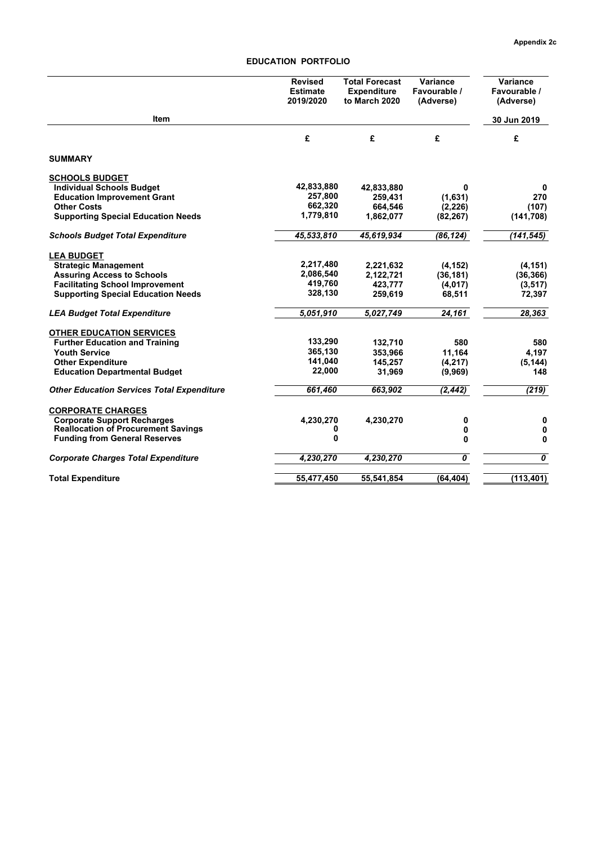# **EDUCATION PORTFOLIO**

|                                                   | <b>Revised</b><br><b>Estimate</b><br>2019/2020 | <b>Total Forecast</b><br><b>Expenditure</b><br>to March 2020 | Variance<br>Favourable /<br>(Adverse)  | Variance<br>Favourable /<br>(Adverse) |
|---------------------------------------------------|------------------------------------------------|--------------------------------------------------------------|----------------------------------------|---------------------------------------|
| Item                                              |                                                |                                                              |                                        | 30 Jun 2019                           |
|                                                   | £                                              | £                                                            | £                                      | £                                     |
| <b>SUMMARY</b>                                    |                                                |                                                              |                                        |                                       |
| <b>SCHOOLS BUDGET</b>                             |                                                |                                                              |                                        |                                       |
| <b>Individual Schools Budget</b>                  | 42,833,880                                     | 42,833,880                                                   | 0                                      | 0                                     |
| <b>Education Improvement Grant</b>                | 257,800                                        | 259.431                                                      | (1.631)                                | 270                                   |
| <b>Other Costs</b>                                | 662,320                                        | 664,546                                                      | (2, 226)                               | (107)                                 |
| <b>Supporting Special Education Needs</b>         | 1,779,810                                      | 1,862,077                                                    | (82, 267)                              | (141, 708)                            |
| <b>Schools Budget Total Expenditure</b>           | 45,533,810                                     | 45,619,934                                                   | (86, 124)                              | (141, 545)                            |
| <b>LEA BUDGET</b>                                 |                                                |                                                              |                                        |                                       |
| <b>Strategic Management</b>                       | 2,217,480                                      | 2,221,632                                                    | (4, 152)                               | (4, 151)                              |
| <b>Assuring Access to Schools</b>                 | 2,086,540                                      | 2,122,721                                                    | (36, 181)                              | (36, 366)                             |
| <b>Facilitating School Improvement</b>            | 419,760                                        | 423,777                                                      | (4,017)                                | (3, 517)                              |
| <b>Supporting Special Education Needs</b>         | 328,130                                        | 259,619                                                      | 68,511                                 | 72,397                                |
| <b>LEA Budget Total Expenditure</b>               | 5,051,910                                      | 5,027,749                                                    | 24,161                                 | 28,363                                |
| <b>OTHER EDUCATION SERVICES</b>                   |                                                |                                                              |                                        |                                       |
| <b>Further Education and Training</b>             | 133,290                                        | 132,710                                                      | 580                                    | 580                                   |
| <b>Youth Service</b>                              | 365,130                                        | 353,966                                                      | 11.164                                 | 4.197                                 |
| <b>Other Expenditure</b>                          | 141,040                                        | 145,257                                                      | (4, 217)                               | (5, 144)                              |
| <b>Education Departmental Budget</b>              | 22,000                                         | 31,969                                                       | (9,969)                                | 148                                   |
| <b>Other Education Services Total Expenditure</b> | 661,460                                        | 663,902                                                      | (2, 442)                               | (219)                                 |
| <b>CORPORATE CHARGES</b>                          |                                                |                                                              |                                        |                                       |
| <b>Corporate Support Recharges</b>                | 4,230,270                                      | 4,230,270                                                    | 0                                      | 0                                     |
| <b>Reallocation of Procurement Savings</b>        | 0                                              |                                                              | 0                                      | 0                                     |
| <b>Funding from General Reserves</b>              | 0                                              |                                                              | 0                                      | 0                                     |
| <b>Corporate Charges Total Expenditure</b>        | 4,230,270                                      | 4,230,270                                                    | $\overline{\boldsymbol{\mathfrak{o}}}$ | $\overline{\boldsymbol{\theta}}$      |
| <b>Total Expenditure</b>                          | 55,477,450                                     | 55,541,854                                                   | (64, 404)                              | (113, 401)                            |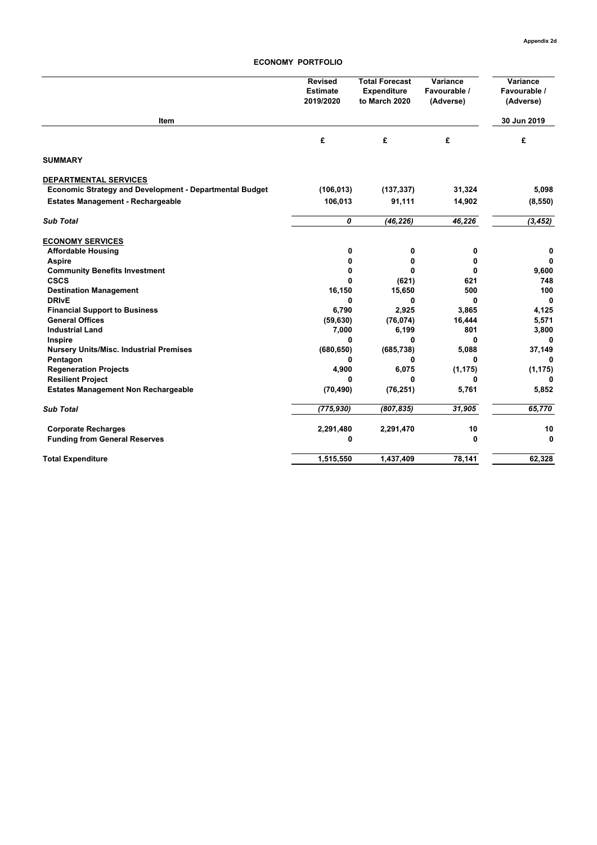## **ECONOMY PORTFOLIO**

|                                                         | <b>Revised</b><br><b>Estimate</b><br>2019/2020 | <b>Total Forecast</b><br><b>Expenditure</b><br>to March 2020 | Variance<br>Favourable /<br>(Adverse) | Variance<br>Favourable /<br>(Adverse) |
|---------------------------------------------------------|------------------------------------------------|--------------------------------------------------------------|---------------------------------------|---------------------------------------|
| Item                                                    |                                                |                                                              |                                       | 30 Jun 2019                           |
|                                                         | £                                              | £                                                            | £                                     | £                                     |
| <b>SUMMARY</b>                                          |                                                |                                                              |                                       |                                       |
| <b>DEPARTMENTAL SERVICES</b>                            |                                                |                                                              |                                       |                                       |
| Economic Strategy and Development - Departmental Budget | (106, 013)                                     | (137, 337)                                                   | 31,324                                | 5,098                                 |
| <b>Estates Management - Rechargeable</b>                | 106,013                                        | 91,111                                                       | 14,902                                | (8, 550)                              |
| <b>Sub Total</b>                                        | 0                                              | (46, 226)                                                    | 46,226                                | (3, 452)                              |
| <b>ECONOMY SERVICES</b>                                 |                                                |                                                              |                                       |                                       |
| <b>Affordable Housing</b>                               | 0                                              | 0                                                            | 0                                     | 0                                     |
| <b>Aspire</b>                                           | 0                                              | 0                                                            | 0                                     | 0                                     |
| <b>Community Benefits Investment</b>                    | 0                                              | 0                                                            | 0                                     | 9,600                                 |
| <b>CSCS</b>                                             | 0                                              | (621)                                                        | 621                                   | 748                                   |
| <b>Destination Management</b>                           | 16,150                                         | 15,650                                                       | 500                                   | 100                                   |
| <b>DRIvE</b>                                            | 0                                              | 0                                                            | 0                                     | 0                                     |
| <b>Financial Support to Business</b>                    | 6,790                                          | 2,925                                                        | 3,865                                 | 4,125                                 |
| <b>General Offices</b>                                  | (59, 630)                                      | (76, 074)                                                    | 16,444                                | 5,571                                 |
| <b>Industrial Land</b>                                  | 7,000                                          | 6,199                                                        | 801                                   | 3,800                                 |
| Inspire                                                 | 0                                              | 0                                                            | 0                                     |                                       |
| <b>Nursery Units/Misc. Industrial Premises</b>          | (680, 650)                                     | (685, 738)<br>0                                              | 5,088<br>0                            | 37,149<br>ŋ                           |
| Pentagon<br><b>Regeneration Projects</b>                | 0<br>4,900                                     | 6,075                                                        | (1, 175)                              | (1, 175)                              |
| <b>Resilient Project</b>                                | 0                                              | 0                                                            | 0                                     | n                                     |
| <b>Estates Management Non Rechargeable</b>              | (70, 490)                                      | (76, 251)                                                    | 5,761                                 | 5,852                                 |
| <b>Sub Total</b>                                        | (775, 930)                                     | (807, 835)                                                   | 31,905                                | 65,770                                |
| <b>Corporate Recharges</b>                              | 2,291,480                                      | 2,291,470                                                    | 10                                    | 10                                    |
| <b>Funding from General Reserves</b>                    | 0                                              |                                                              | 0                                     | 0                                     |
| <b>Total Expenditure</b>                                | 1,515,550                                      | 1.437.409                                                    | 78.141                                | 62,328                                |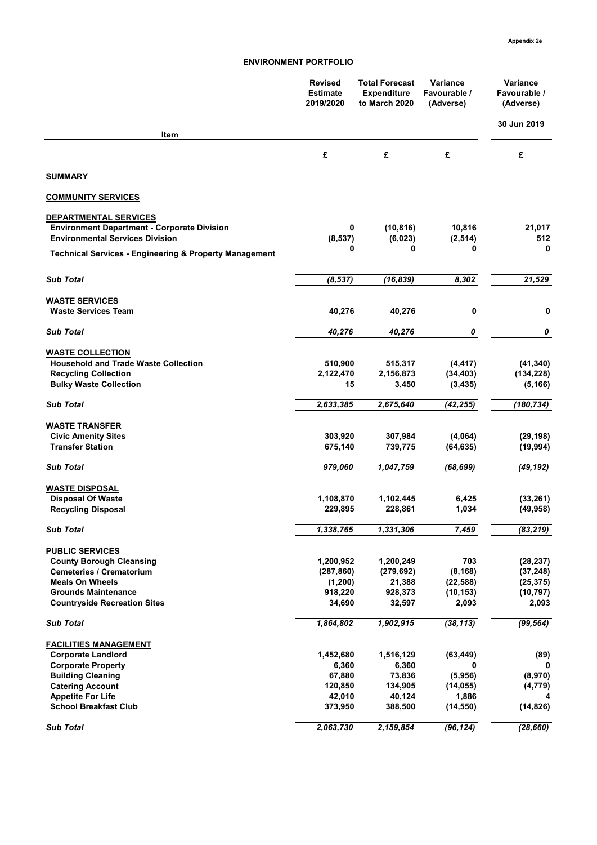|                                                                   | <b>Revised</b><br><b>Estimate</b><br>2019/2020 | <b>Total Forecast</b><br><b>Expenditure</b><br>to March 2020 | Variance<br>Favourable /<br>(Adverse) | Variance<br>Favourable /<br>(Adverse) |
|-------------------------------------------------------------------|------------------------------------------------|--------------------------------------------------------------|---------------------------------------|---------------------------------------|
| Item                                                              |                                                |                                                              |                                       | 30 Jun 2019                           |
|                                                                   |                                                |                                                              |                                       |                                       |
|                                                                   | £                                              | £                                                            | £                                     | £                                     |
| <b>SUMMARY</b>                                                    |                                                |                                                              |                                       |                                       |
| <b>COMMUNITY SERVICES</b>                                         |                                                |                                                              |                                       |                                       |
| DEPARTMENTAL SERVICES                                             |                                                |                                                              |                                       |                                       |
| <b>Environment Department - Corporate Division</b>                | 0                                              | (10, 816)                                                    | 10,816                                | 21,017                                |
| <b>Environmental Services Division</b>                            | (8, 537)                                       | (6,023)                                                      | (2, 514)                              | 512                                   |
| <b>Technical Services - Engineering &amp; Property Management</b> | 0                                              | 0                                                            | 0                                     | 0                                     |
| <b>Sub Total</b>                                                  | (8, 537)                                       | (16, 839)                                                    | 8,302                                 | 21,529                                |
|                                                                   |                                                |                                                              |                                       |                                       |
| <b>WASTE SERVICES</b>                                             |                                                |                                                              |                                       |                                       |
| <b>Waste Services Team</b>                                        | 40,276                                         | 40,276                                                       | 0                                     | 0                                     |
| <b>Sub Total</b>                                                  | 40,276                                         | 40,276                                                       | 0                                     | 0                                     |
| <b>WASTE COLLECTION</b>                                           |                                                |                                                              |                                       |                                       |
| <b>Household and Trade Waste Collection</b>                       | 510,900                                        | 515,317                                                      | (4, 417)                              | (41, 340)                             |
| <b>Recycling Collection</b>                                       | 2,122,470                                      | 2,156,873                                                    | (34, 403)                             | (134, 228)                            |
| <b>Bulky Waste Collection</b>                                     | 15                                             | 3,450                                                        | (3, 435)                              | (5, 166)                              |
| <b>Sub Total</b>                                                  | 2,633,385                                      | 2,675,640                                                    | (42, 255)                             | (180, 734)                            |
| <b>WASTE TRANSFER</b>                                             |                                                |                                                              |                                       |                                       |
| <b>Civic Amenity Sites</b>                                        | 303,920                                        | 307,984                                                      | (4,064)                               | (29, 198)                             |
| <b>Transfer Station</b>                                           | 675,140                                        | 739,775                                                      | (64, 635)                             | (19, 994)                             |
| <b>Sub Total</b>                                                  | 979,060                                        | 1,047,759                                                    | (68, 699)                             | (49, 192)                             |
| <b>WASTE DISPOSAL</b>                                             |                                                |                                                              |                                       |                                       |
| <b>Disposal Of Waste</b>                                          | 1,108,870                                      | 1,102,445                                                    | 6,425                                 | (33, 261)                             |
| <b>Recycling Disposal</b>                                         | 229,895                                        | 228,861                                                      | 1,034                                 | (49, 958)                             |
| <b>Sub Total</b>                                                  | 1,338,765                                      | 1,331,306                                                    | 7,459                                 | (83, 219)                             |
| <b>PUBLIC SERVICES</b>                                            |                                                |                                                              |                                       |                                       |
| <b>County Borough Cleansing</b>                                   | 1,200,952                                      | 1,200,249                                                    | 703                                   | (28, 237)                             |
| <b>Cemeteries / Crematorium</b>                                   | (287, 860)                                     | (279, 692)                                                   | (8, 168)                              | (37, 248)                             |
| <b>Meals On Wheels</b>                                            | (1, 200)                                       | 21,388                                                       | (22, 588)                             | (25, 375)                             |
| <b>Grounds Maintenance</b>                                        | 918,220                                        | 928,373                                                      | (10, 153)                             | (10, 797)                             |
| <b>Countryside Recreation Sites</b>                               | 34,690                                         | 32,597                                                       | 2,093                                 | 2,093                                 |
| <b>Sub Total</b>                                                  | 1,864,802                                      | 1,902,915                                                    | (38, 113)                             | (99, 564)                             |
| <b>FACILITIES MANAGEMENT</b>                                      |                                                |                                                              |                                       |                                       |
| <b>Corporate Landlord</b>                                         | 1,452,680                                      | 1,516,129                                                    | (63, 449)                             | (89)                                  |
| <b>Corporate Property</b>                                         | 6,360                                          | 6,360                                                        | 0                                     | 0                                     |
| <b>Building Cleaning</b>                                          | 67,880                                         | 73,836                                                       | (5,956)                               | (8,970)                               |
| <b>Catering Account</b>                                           | 120,850                                        | 134,905                                                      | (14, 055)                             | (4, 779)                              |
| <b>Appetite For Life</b><br><b>School Breakfast Club</b>          | 42,010<br>373,950                              | 40,124<br>388,500                                            | 1,886<br>(14, 550)                    | (14, 826)                             |
|                                                                   |                                                |                                                              |                                       |                                       |
| <b>Sub Total</b>                                                  | 2,063,730                                      | 2,159,854                                                    | (96, 124)                             | (28, 660)                             |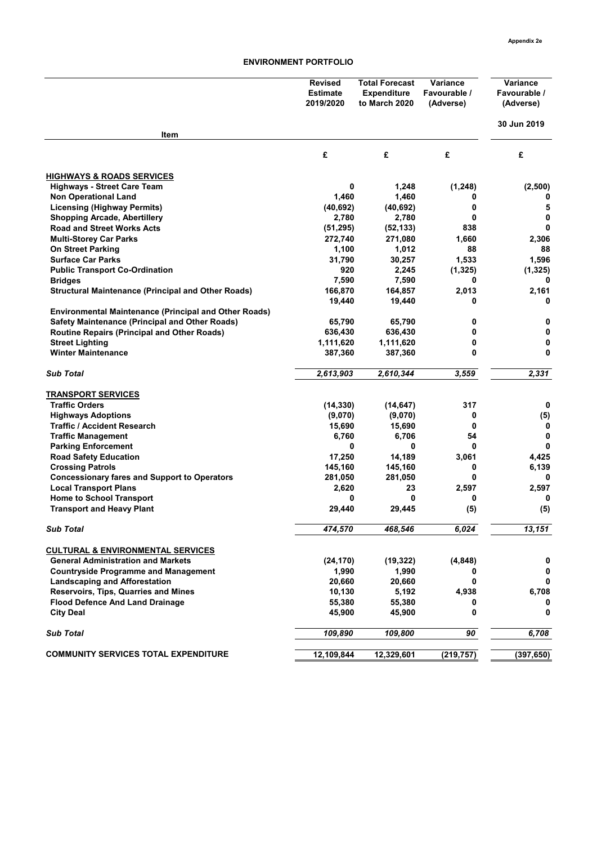|                                                              | <b>Revised</b><br><b>Estimate</b><br>2019/2020 | <b>Total Forecast</b><br>Expenditure<br>to March 2020 | Variance<br>Favourable /<br>(Adverse) | Variance<br>Favourable /<br>(Adverse) |
|--------------------------------------------------------------|------------------------------------------------|-------------------------------------------------------|---------------------------------------|---------------------------------------|
| Item                                                         |                                                |                                                       |                                       | 30 Jun 2019                           |
|                                                              | £                                              | £                                                     | £                                     | £                                     |
| <b>HIGHWAYS &amp; ROADS SERVICES</b>                         |                                                |                                                       |                                       |                                       |
| <b>Highways - Street Care Team</b>                           | 0                                              | 1,248                                                 | (1, 248)                              | (2,500)                               |
| <b>Non Operational Land</b>                                  | 1,460                                          | 1,460                                                 | 0                                     |                                       |
| <b>Licensing (Highway Permits)</b>                           | (40, 692)                                      | (40, 692)                                             | 0                                     | 5                                     |
| <b>Shopping Arcade, Abertillery</b>                          | 2,780                                          | 2,780                                                 | 0                                     | 0                                     |
| <b>Road and Street Works Acts</b>                            | (51, 295)                                      | (52, 133)                                             | 838                                   | 0                                     |
| <b>Multi-Storey Car Parks</b>                                | 272,740                                        | 271,080                                               | 1,660                                 | 2,306                                 |
| <b>On Street Parking</b>                                     | 1,100                                          | 1,012                                                 | 88                                    | 88                                    |
| <b>Surface Car Parks</b>                                     | 31,790                                         | 30,257                                                | 1,533                                 | 1,596                                 |
| <b>Public Transport Co-Ordination</b>                        | 920                                            | 2,245                                                 | (1, 325)                              | (1, 325)                              |
| <b>Bridges</b>                                               | 7,590                                          | 7,590                                                 | 0                                     | 0                                     |
| <b>Structural Maintenance (Principal and Other Roads)</b>    | 166,870                                        | 164,857                                               | 2,013                                 | 2,161                                 |
|                                                              | 19,440                                         | 19,440                                                | 0                                     | 0                                     |
| <b>Environmental Maintenance (Principal and Other Roads)</b> |                                                |                                                       |                                       |                                       |
| <b>Safety Maintenance (Principal and Other Roads)</b>        | 65,790                                         | 65,790                                                | 0                                     | 0                                     |
| <b>Routine Repairs (Principal and Other Roads)</b>           | 636,430                                        | 636,430                                               | 0                                     | 0                                     |
| <b>Street Lighting</b>                                       | 1,111,620                                      | 1,111,620                                             | 0                                     | 0                                     |
| <b>Winter Maintenance</b>                                    | 387,360                                        | 387,360                                               | 0                                     | 0                                     |
| <b>Sub Total</b>                                             | 2,613,903                                      | 2,610,344                                             | 3,559                                 | 2,331                                 |
| <b>TRANSPORT SERVICES</b>                                    |                                                |                                                       |                                       |                                       |
| <b>Traffic Orders</b>                                        | (14, 330)                                      | (14, 647)                                             | 317                                   | 0                                     |
| <b>Highways Adoptions</b>                                    | (9,070)                                        | (9,070)                                               | 0                                     | (5)                                   |
| <b>Traffic / Accident Research</b>                           | 15,690                                         | 15,690                                                | 0                                     | 0                                     |
| <b>Traffic Management</b>                                    | 6,760                                          | 6,706                                                 | 54                                    | 0                                     |
| <b>Parking Enforcement</b>                                   | 0                                              | 0                                                     | 0                                     | $\mathbf{0}$                          |
| <b>Road Safety Education</b>                                 | 17,250                                         | 14,189                                                | 3,061                                 | 4,425                                 |
| <b>Crossing Patrols</b>                                      | 145,160                                        | 145,160                                               | 0                                     | 6,139                                 |
| <b>Concessionary fares and Support to Operators</b>          | 281,050                                        | 281,050                                               | 0                                     | $\bf{0}$                              |
| <b>Local Transport Plans</b>                                 | 2,620                                          | 23                                                    | 2,597                                 | 2,597                                 |
| <b>Home to School Transport</b>                              | 0                                              | 0                                                     | 0                                     | 0                                     |
| <b>Transport and Heavy Plant</b>                             | 29,440                                         | 29,445                                                | (5)                                   | (5)                                   |
| <b>Sub Total</b>                                             | 474,570                                        | 468,546                                               | 6,024                                 | 13,151                                |
| <b>CULTURAL &amp; ENVIRONMENTAL SERVICES</b>                 |                                                |                                                       |                                       |                                       |
| <b>General Administration and Markets</b>                    | (24, 170)                                      | (19, 322)                                             | (4, 848)                              | 0                                     |
| <b>Countryside Programme and Management</b>                  | 1,990                                          | 1,990                                                 | 0                                     | 0                                     |
| <b>Landscaping and Afforestation</b>                         | 20,660                                         | 20,660                                                | 0                                     | 0                                     |
| Reservoirs, Tips, Quarries and Mines                         | 10,130                                         | 5,192                                                 | 4,938                                 | 6,708                                 |
| <b>Flood Defence And Land Drainage</b>                       | 55,380                                         | 55,380                                                | 0                                     | 0                                     |
| <b>City Deal</b>                                             | 45,900                                         | 45,900                                                | 0                                     | 0                                     |
| <b>Sub Total</b>                                             | 109,890                                        | 109,800                                               | 90                                    | 6,708                                 |
|                                                              |                                                |                                                       |                                       |                                       |
| <b>COMMUNITY SERVICES TOTAL EXPENDITURE</b>                  | 12,109,844                                     | 12,329,601                                            | (219, 757)                            | (397, 650)                            |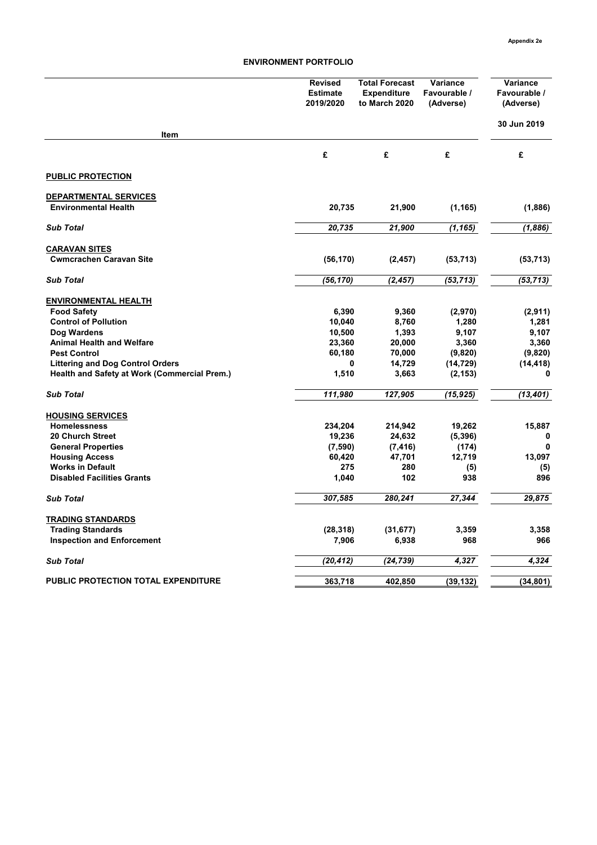|                                                     | <b>Revised</b><br><b>Estimate</b><br>2019/2020 | <b>Total Forecast</b><br><b>Expenditure</b><br>to March 2020 | Variance<br>Favourable /<br>(Adverse) | Variance<br>Favourable /<br>(Adverse) |
|-----------------------------------------------------|------------------------------------------------|--------------------------------------------------------------|---------------------------------------|---------------------------------------|
| <b>Item</b>                                         |                                                |                                                              |                                       | 30 Jun 2019                           |
|                                                     | £                                              | £                                                            | £                                     | £                                     |
| <b>PUBLIC PROTECTION</b>                            |                                                |                                                              |                                       |                                       |
| <b>DEPARTMENTAL SERVICES</b>                        |                                                |                                                              |                                       |                                       |
| <b>Environmental Health</b>                         | 20,735                                         | 21,900                                                       | (1, 165)                              | (1,886)                               |
| <b>Sub Total</b>                                    | 20,735                                         | 21,900                                                       | (1, 165)                              | (1,886)                               |
| <b>CARAVAN SITES</b>                                |                                                |                                                              |                                       |                                       |
| <b>Cwmcrachen Caravan Site</b>                      | (56, 170)                                      | (2, 457)                                                     | (53, 713)                             | (53, 713)                             |
| <b>Sub Total</b>                                    | (56, 170)                                      | (2, 457)                                                     | (53, 713)                             | (53, 713)                             |
| <b>ENVIRONMENTAL HEALTH</b>                         |                                                |                                                              |                                       |                                       |
| <b>Food Safety</b>                                  | 6,390                                          | 9,360                                                        | (2,970)                               | (2,911)                               |
| <b>Control of Pollution</b>                         | 10,040                                         | 8,760                                                        | 1,280                                 | 1,281                                 |
| Dog Wardens                                         | 10,500                                         | 1,393                                                        | 9,107                                 | 9,107                                 |
| <b>Animal Health and Welfare</b>                    | 23,360                                         | 20,000                                                       | 3,360                                 | 3,360                                 |
| <b>Pest Control</b>                                 | 60,180                                         | 70,000                                                       | (9, 820)                              | (9,820)                               |
| <b>Littering and Dog Control Orders</b>             | 0                                              | 14,729                                                       | (14, 729)                             | (14, 418)                             |
| <b>Health and Safety at Work (Commercial Prem.)</b> | 1,510                                          | 3,663                                                        | (2, 153)                              | 0                                     |
| <b>Sub Total</b>                                    | 111,980                                        | 127,905                                                      | (15,925)                              | (13,401)                              |
| <b>HOUSING SERVICES</b>                             |                                                |                                                              |                                       |                                       |
| <b>Homelessness</b>                                 | 234,204                                        | 214,942                                                      | 19,262                                | 15,887                                |
| <b>20 Church Street</b>                             | 19,236                                         | 24,632                                                       | (5, 396)                              | 0                                     |
| <b>General Properties</b>                           | (7,590)                                        | (7, 416)                                                     | (174)                                 | 0                                     |
| <b>Housing Access</b>                               | 60,420                                         | 47,701                                                       | 12,719                                | 13,097                                |
| <b>Works in Default</b>                             | 275                                            | 280                                                          | (5)                                   | (5)                                   |
| <b>Disabled Facilities Grants</b>                   | 1,040                                          | 102                                                          | 938                                   | 896                                   |
| <b>Sub Total</b>                                    | 307,585                                        | 280,241                                                      | 27,344                                | 29.875                                |
| <b>TRADING STANDARDS</b>                            |                                                |                                                              |                                       |                                       |
| <b>Trading Standards</b>                            | (28, 318)                                      | (31, 677)                                                    | 3,359                                 | 3,358                                 |
| <b>Inspection and Enforcement</b>                   | 7,906                                          | 6,938                                                        | 968                                   | 966                                   |
| <b>Sub Total</b>                                    | (20, 412)                                      | (24, 739)                                                    | 4,327                                 | 4,324                                 |
| PUBLIC PROTECTION TOTAL EXPENDITURE                 | 363,718                                        | 402,850                                                      | (39, 132)                             | (34, 801)                             |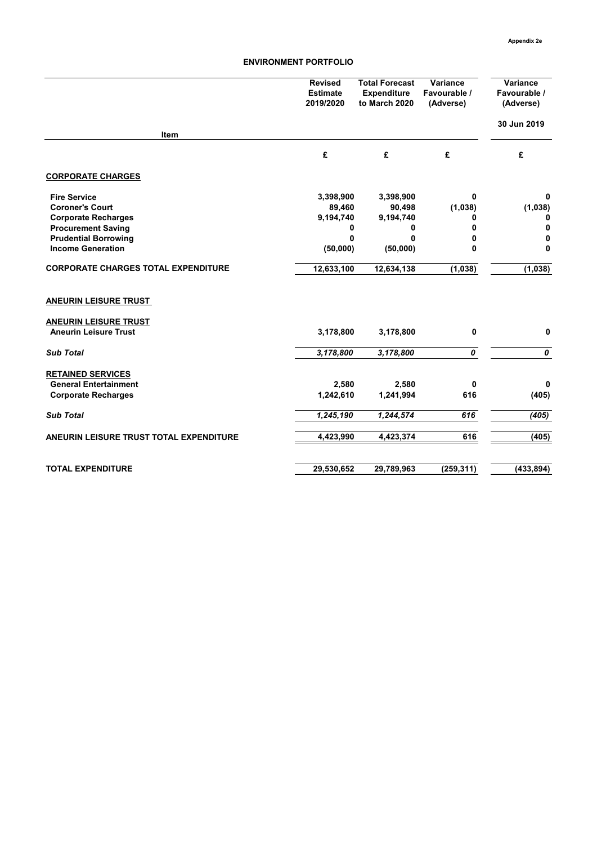|                                            | <b>Revised</b><br><b>Estimate</b><br>2019/2020 | <b>Total Forecast</b><br><b>Expenditure</b><br>to March 2020 | Variance<br>Favourable /<br>(Adverse) | Variance<br>Favourable /<br>(Adverse) |
|--------------------------------------------|------------------------------------------------|--------------------------------------------------------------|---------------------------------------|---------------------------------------|
| Item                                       |                                                |                                                              |                                       | 30 Jun 2019                           |
|                                            | £                                              | £                                                            | £                                     | £                                     |
| <b>CORPORATE CHARGES</b>                   |                                                |                                                              |                                       |                                       |
| <b>Fire Service</b>                        | 3,398,900                                      | 3,398,900                                                    | 0                                     | 0                                     |
| <b>Coroner's Court</b>                     | 89,460                                         | 90,498                                                       | (1,038)                               | (1,038)                               |
| <b>Corporate Recharges</b>                 | 9,194,740                                      | 9,194,740                                                    | 0                                     | 0                                     |
| <b>Procurement Saving</b>                  | 0                                              | 0                                                            | 0                                     | 0                                     |
| <b>Prudential Borrowing</b>                | $\mathbf{0}$                                   | 0                                                            | 0                                     | 0                                     |
| <b>Income Generation</b>                   | (50,000)                                       | (50,000)                                                     | 0                                     | $\mathbf{0}$                          |
| <b>CORPORATE CHARGES TOTAL EXPENDITURE</b> | 12,633,100                                     | $\overline{12,}634,138$                                      | (1,038)                               | (1,038)                               |
| <b>ANEURIN LEISURE TRUST</b>               |                                                |                                                              |                                       |                                       |
| <b>ANEURIN LEISURE TRUST</b>               |                                                |                                                              |                                       |                                       |
| <b>Aneurin Leisure Trust</b>               | 3,178,800                                      | 3,178,800                                                    | 0                                     | 0                                     |
| <b>Sub Total</b>                           | 3,178,800                                      | 3,178,800                                                    | 0                                     | 0                                     |
| <b>RETAINED SERVICES</b>                   |                                                |                                                              |                                       |                                       |
| <b>General Entertainment</b>               | 2,580                                          | 2,580                                                        | 0                                     | 0                                     |
| <b>Corporate Recharges</b>                 | 1,242,610                                      | 1,241,994                                                    | 616                                   | (405)                                 |
| <b>Sub Total</b>                           | 1,245,190                                      | 1,244,574                                                    | 616                                   | (405)                                 |
|                                            |                                                |                                                              |                                       |                                       |
| ANEURIN LEISURE TRUST TOTAL EXPENDITURE    | 4,423,990                                      | 4,423,374                                                    | 616                                   | (405)                                 |
| <b>TOTAL EXPENDITURE</b>                   | 29,530,652                                     | 29,789,963                                                   | (259, 311)                            | (433, 894)                            |
|                                            |                                                |                                                              |                                       |                                       |